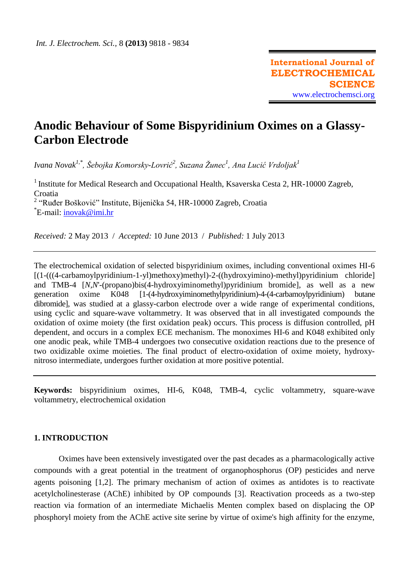# **Anodic Behaviour of Some Bispyridinium Oximes on a Glassy-Carbon Electrode**

*Ivana Novak1,\*, Šebojka Komorsky-Lovrić<sup>2</sup> , Suzana Žunec<sup>1</sup> , Ana Lucić Vrdoljak<sup>1</sup>*

<sup>1</sup> Institute for Medical Research and Occupational Health, Ksaverska Cesta 2, HR-10000 Zagreb, Croatia <sup>2</sup> "Ruđer Bošković" Institute, Bijenička 54, HR-10000 Zagreb, Croatia \*E-mail: <u>inovak@imi.hr</u>

*Received:* 2 May 2013/ *Accepted:* 10 June 2013 / *Published:* 1 July 2013

The electrochemical oxidation of selected bispyridinium oximes, including conventional oximes HI-6 [(1-(((4-carbamoylpyridinium-1-yl)methoxy)methyl)-2-((hydroxyimino)-methyl)pyridinium chloride] and TMB-4 [*N,N*'-(propano)bis(4-hydroxyiminomethyl)pyridinium bromide], as well as a new generation oxime K048 [1-(4-hydroxyiminomethylpyridinium)-4-(4-carbamoylpyridinium) butane dibromide], was studied at a glassy-carbon electrode over a wide range of experimental conditions, using cyclic and square-wave voltammetry. It was observed that in all investigated compounds the oxidation of oxime moiety (the first oxidation peak) occurs. This process is diffusion controlled, pH dependent, and occurs in a complex ECE mechanism. The monoximes HI-6 and K048 exhibited only one anodic peak, while TMB-4 undergoes two consecutive oxidation reactions due to the presence of two oxidizable oxime moieties. The final product of electro-oxidation of oxime moiety, hydroxynitroso intermediate, undergoes further oxidation at more positive potential.

**Keywords:** bispyridinium oximes, HI-6, K048, TMB-4, cyclic voltammetry, square-wave voltammetry, electrochemical oxidation

### **1. INTRODUCTION**

Oximes have been extensively investigated over the past decades as a pharmacologically active compounds with a great potential in the treatment of organophosphorus (OP) pesticides and nerve agents poisoning [1,2]. The primary mechanism of action of oximes as antidotes is to reactivate acetylcholinesterase (AChE) inhibited by OP compounds [3]. Reactivation proceeds as a two-step reaction via formation of an intermediate Michaelis Menten complex based on displacing the OP phosphoryl moiety from the AChE active site serine by virtue of oxime's high affinity for the enzyme,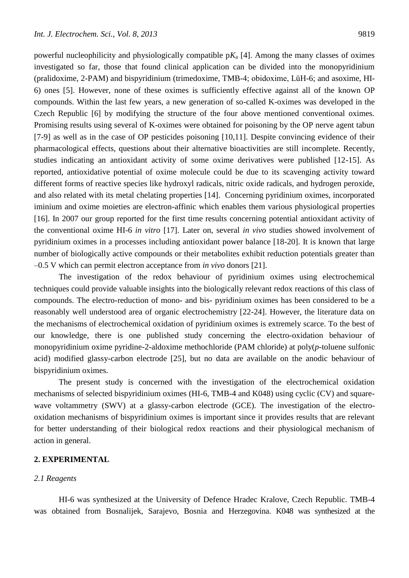powerful nucleophilicity and physiologically compatible  $pK_a$  [4]. Among the many classes of oximes investigated so far, those that found clinical application can be divided into the monopyridinium (pralidoxime, 2-PAM) and bispyridinium (trimedoxime, TMB-4; obidoxime, LüH-6; and asoxime, HI-6) ones [5]. However, none of these oximes is sufficiently effective against all of the known OP compounds. Within the last few years, a new generation of so-called K-oximes was developed in the Czech Republic [6] by modifying the structure of the four above mentioned conventional oximes. Promising results using several of K-oximes were obtained for poisoning by the OP nerve agent tabun [7-9] as well as in the case of OP pesticides poisoning [10,11]. Despite convincing evidence of their pharmacological effects, questions about their alternative bioactivities are still incomplete. Recently, studies indicating an antioxidant activity of some oxime derivatives were published [12-15]. As reported, antioxidative potential of oxime molecule could be due to its scavenging activity toward different forms of reactive species like hydroxyl radicals, nitric oxide radicals, and hydrogen peroxide, and also related with its metal chelating properties [14]. Concerning pyridinium oximes, incorporated iminium and oxime moieties are electron-affinic which enables them various physiological properties [16]. In 2007 our group reported for the first time results concerning potential antioxidant activity of the conventional oxime HI-6 *in vitro* [17]. Later on, several *in vivo* studies showed involvement of pyridinium oximes in a processes including antioxidant power balance [18-20]. It is known that large number of biologically active compounds or their metabolites exhibit reduction potentials greater than –0.5 V which can permit electron acceptance from *in vivo* donors [21].

The investigation of the redox behaviour of pyridinium oximes using electrochemical techniques could provide valuable insights into the biologically relevant redox reactions of this class of compounds. The electro-reduction of mono- and bis- pyridinium oximes has been considered to be a reasonably well understood area of organic electrochemistry [22-24]. However, the literature data on the mechanisms of electrochemical oxidation of pyridinium oximes is extremely scarce. To the best of our knowledge, there is one published study concerning the electro-oxidation behaviour of monopyridinium oxime pyridine-2-aldoxime methochloride (PAM chloride) at poly(*p*-toluene sulfonic acid) modified glassy-carbon electrode [25], but no data are available on the anodic behaviour of bispyridinium oximes.

The present study is concerned with the investigation of the electrochemical oxidation mechanisms of selected bispyridinium oximes (HI-6, TMB-4 and K048) using cyclic (CV) and squarewave voltammetry (SWV) at a glassy-carbon electrode (GCE). The investigation of the electrooxidation mechanisms of bispyridinium oximes is important since it provides results that are relevant for better understanding of their biological redox reactions and their physiological mechanism of action in general.

## **2. EXPERIMENTAL**

## *2.1 Reagents*

HI-6 was synthesized at the University of Defence Hradec Kralove, Czech Republic. TMB-4 was obtained from Bosnalijek, Sarajevo, Bosnia and Herzegovina. K048 was synthesized at the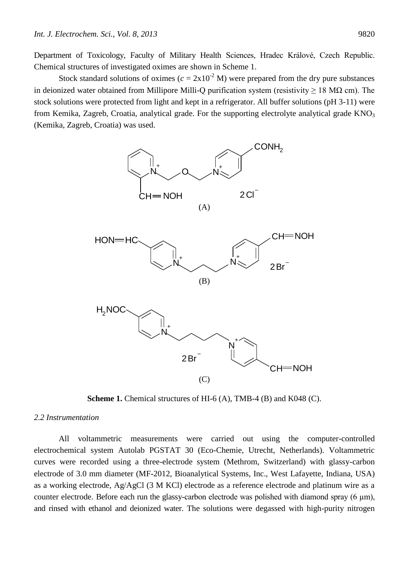Department of Toxicology, Faculty of Military Health Sciences, Hradec Králové, Czech Republic. Chemical structures of investigated oximes are shown in Scheme 1.

Stock standard solutions of oximes  $(c = 2x10^{-2} M)$  were prepared from the dry pure substances in deionized water obtained from Millipore Milli-O purification system (resistivity  $> 18$  MQ cm). The stock solutions were protected from light and kept in a refrigerator. All buffer solutions (pH 3-11) were from Kemika, Zagreb, Croatia, analytical grade. For the supporting electrolyte analytical grade  $KNO<sub>3</sub>$ (Kemika, Zagreb, Croatia) was used.







**Scheme 1.** Chemical structures of HI-6 (A), TMB-4 (B) and K048 (C).

# *2.2 Instrumentation*

All voltammetric measurements were carried out using the computer-controlled electrochemical system Autolab PGSTAT 30 (Eco-Chemie, Utrecht, Netherlands). Voltammetric curves were recorded using a three-electrode system (Methrom, Switzerland) with glassy-carbon electrode of 3.0 mm diameter (MF-2012, Bioanalytical Systems, Inc., West Lafayette, Indiana, USA) as a working electrode, Ag/AgCl (3 M KCl) electrode as a reference electrode and platinum wire as a counter electrode. Before each run the glassy-carbon electrode was polished with diamond spray  $(6 \mu m)$ , and rinsed with ethanol and deionized water. The solutions were degassed with high-purity nitrogen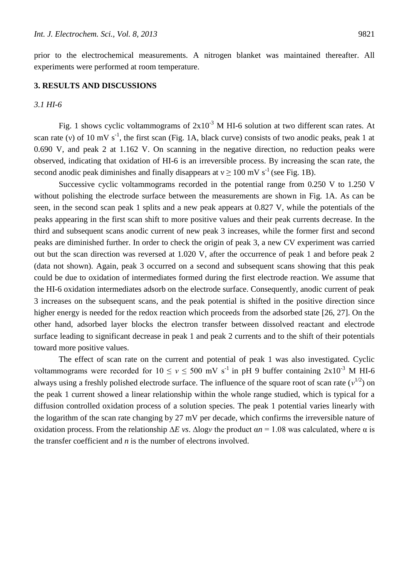prior to the electrochemical measurements. A nitrogen blanket was maintained thereafter. All experiments were performed at room temperature.

#### **3. RESULTS AND DISCUSSIONS**

#### *3.1 HI-6*

Fig. 1 shows cyclic voltammograms of  $2x10^{-3}$  M HI-6 solution at two different scan rates. At scan rate (v) of 10 mV  $s^{-1}$ , the first scan (Fig. 1A, black curve) consists of two anodic peaks, peak 1 at 0.690 V, and peak 2 at 1.162 V. On scanning in the negative direction, no reduction peaks were observed, indicating that oxidation of HI-6 is an irreversible process. By increasing the scan rate, the second anodic peak diminishes and finally disappears at  $v \ge 100$  mV s<sup>-1</sup> (see Fig. 1B).

Successive cyclic voltammograms recorded in the potential range from 0.250 V to 1.250 V without polishing the electrode surface between the measurements are shown in Fig. 1A. As can be seen, in the second scan peak 1 splits and a new peak appears at 0.827 V, while the potentials of the peaks appearing in the first scan shift to more positive values and their peak currents decrease. In the third and subsequent scans anodic current of new peak 3 increases, while the former first and second peaks are diminished further. In order to check the origin of peak 3, a new CV experiment was carried out but the scan direction was reversed at 1.020 V, after the occurrence of peak 1 and before peak 2 (data not shown). Again, peak 3 occurred on a second and subsequent scans showing that this peak could be due to oxidation of intermediates formed during the first electrode reaction. We assume that the HI-6 oxidation intermediates adsorb on the electrode surface. Consequently, anodic current of peak 3 increases on the subsequent scans, and the peak potential is shifted in the positive direction since higher energy is needed for the redox reaction which proceeds from the adsorbed state [26, 27]. On the other hand, adsorbed layer blocks the electron transfer between dissolved reactant and electrode surface leading to significant decrease in peak 1 and peak 2 currents and to the shift of their potentials toward more positive values.

The effect of scan rate on the current and potential of peak 1 was also investigated. Cyclic voltammograms were recorded for  $10 \le v \le 500$  mV s<sup>-1</sup> in pH 9 buffer containing  $2x10^{-3}$  M HI-6 always using a freshly polished electrode surface. The influence of the square root of scan rate  $(v^{1/2})$  on the peak 1 current showed a linear relationship within the whole range studied, which is typical for a diffusion controlled oxidation process of a solution species. The peak 1 potential varies linearly with the logarithm of the scan rate changing by 27 mV per decade, which confirms the irreversible nature of oxidation process. From the relationship  $\Delta E$  *vs*.  $\Delta$ log*v* the product  $\alpha$ *n* = 1.08 was calculated, where α is the transfer coefficient and *n* is the number of electrons involved.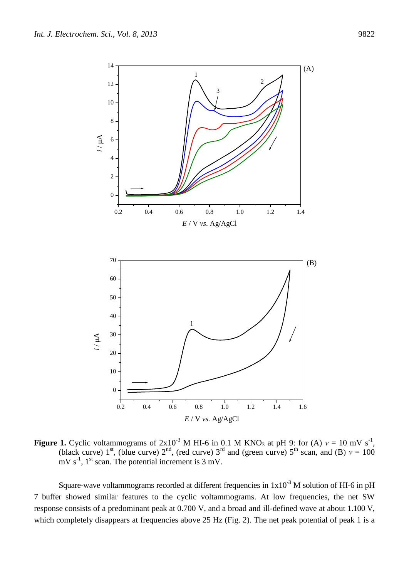

**Figure 1.** Cyclic voltammograms of  $2x10^{-3}$  M HI-6 in 0.1 M KNO<sub>3</sub> at pH 9: for (A)  $v = 10$  mV s<sup>-1</sup>, (black curve) 1<sup>st</sup>, (blue curve)  $2^{nd}$ , (red curve)  $3^{rd}$  and (green curve)  $5^{th}$  scan, and (B)  $v = 100$ mV  $s^{-1}$ , 1<sup>st</sup> scan. The potential increment is 3 mV.

Square-wave voltammograms recorded at different frequencies in  $1x10^{-3}$  M solution of HI-6 in pH 7 buffer showed similar features to the cyclic voltammograms. At low frequencies, the net SW response consists of a predominant peak at 0.700 V, and a broad and ill-defined wave at about 1.100 V, which completely disappears at frequencies above 25 Hz (Fig. 2). The net peak potential of peak 1 is a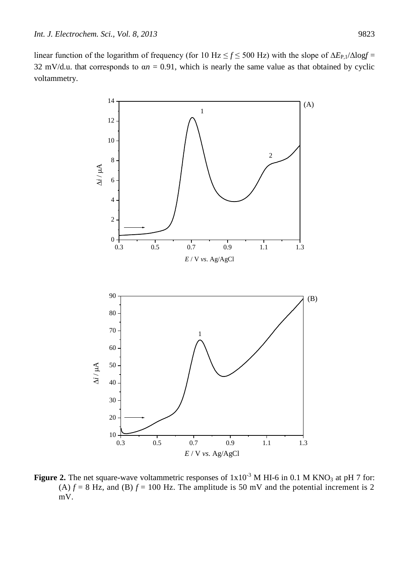linear function of the logarithm of frequency (for 10 Hz ≤ *f* ≤ 500 Hz) with the slope of ∆*E*P,1/∆log*f* = 32 mV/d.u. that corresponds to  $\alpha n = 0.91$ , which is nearly the same value as that obtained by cyclic voltammetry.



**Figure 2.** The net square-wave voltammetric responses of  $1x10^{-3}$  M HI-6 in 0.1 M KNO<sub>3</sub> at pH 7 for: (A)  $f = 8$  Hz, and (B)  $f = 100$  Hz. The amplitude is 50 mV and the potential increment is 2 mV.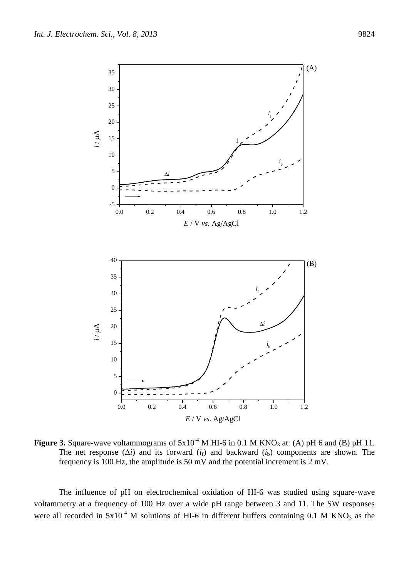-5

0

5

*i*

10

15

 $i / \mu$ A

20

25

30

35





0.0 0.2 0.4 0.6 0.8 1.0 1.2

*E* / V *vs*. Ag/AgCl

**Figure 3.** Square-wave voltammograms of  $5x10^{-4}$  M HI-6 in 0.1 M KNO<sub>3</sub> at: (A) pH 6 and (B) pH 11. The net response (∆*i*) and its forward (*i*f) and backward (*i*b) components are shown. The frequency is 100 Hz, the amplitude is 50 mV and the potential increment is 2 mV.

The influence of pH on electrochemical oxidation of HI-6 was studied using square-wave voltammetry at a frequency of 100 Hz over a wide pH range between 3 and 11. The SW responses were all recorded in  $5x10^{-4}$  M solutions of HI-6 in different buffers containing 0.1 M KNO<sub>3</sub> as the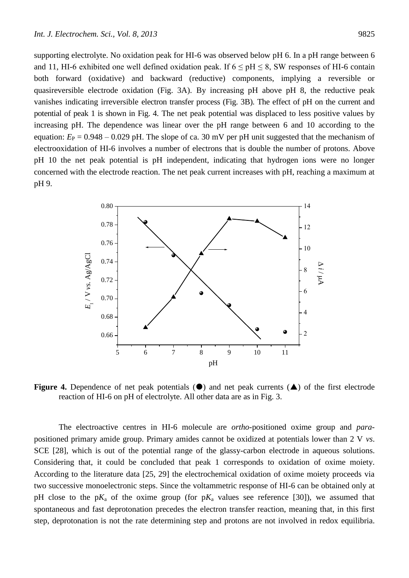supporting electrolyte. No oxidation peak for HI-6 was observed below pH 6. In a pH range between 6 and 11, HI-6 exhibited one well defined oxidation peak. If  $6 \leq pH \leq 8$ , SW responses of HI-6 contain both forward (oxidative) and backward (reductive) components, implying a reversible or quasireversible electrode oxidation (Fig. 3A). By increasing pH above pH 8, the reductive peak vanishes indicating irreversible electron transfer process (Fig. 3B). The effect of pH on the current and potential of peak 1 is shown in Fig. 4. The net peak potential was displaced to less positive values by increasing pH. The dependence was linear over the pH range between 6 and 10 according to the equation:  $E_P = 0.948 - 0.029$  pH. The slope of ca. 30 mV per pH unit suggested that the mechanism of electrooxidation of HI-6 involves a number of electrons that is double the number of protons. Above pH 10 the net peak potential is pH independent, indicating that hydrogen ions were no longer concerned with the electrode reaction. The net peak current increases with pH, reaching a maximum at pH 9.



**Figure 4.** Dependence of net peak potentials  $(\bullet)$  and net peak currents  $(\bullet)$  of the first electrode reaction of HI-6 on pH of electrolyte. All other data are as in Fig. 3.

The electroactive centres in HI-6 molecule are *ortho*-positioned oxime group and *para*positioned primary amide group. Primary amides cannot be oxidized at potentials lower than 2 V *vs*. SCE [28], which is out of the potential range of the glassy-carbon electrode in aqueous solutions. Considering that, it could be concluded that peak 1 corresponds to oxidation of oxime moiety. According to the literature data [25, 29] the electrochemical oxidation of oxime moiety proceeds via two successive monoelectronic steps. Since the voltammetric response of HI-6 can be obtained only at pH close to the  $pK_a$  of the oxime group (for  $pK_a$  values see reference [30]), we assumed that spontaneous and fast deprotonation precedes the electron transfer reaction, meaning that, in this first step, deprotonation is not the rate determining step and protons are not involved in redox equilibria.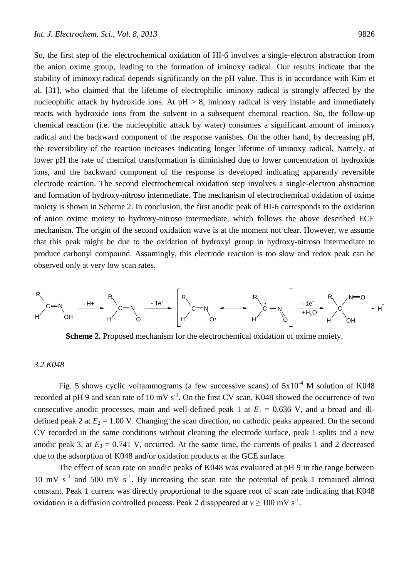So, the first step of the electrochemical oxidation of HI-6 involves a single-electron abstraction from the anion oxime group, leading to the formation of iminoxy radical. Our results indicate that the stability of iminoxy radical depends significantly on the pH value. This is in accordance with Kim et al. [31], who claimed that the lifetime of electrophilic iminoxy radical is strongly affected by the nucleophilic attack by hydroxide ions. At  $pH > 8$ , iminoxy radical is very instable and immediately reacts with hydroxide ions from the solvent in a subsequent chemical reaction. So, the follow-up chemical reaction (i.e. the nucleophilic attack by water) consumes a significant amount of iminoxy radical and the backward component of the response vanishes. On the other hand, by decreasing pH, the reversibility of the reaction increases indicating longer lifetime of iminoxy radical. Namely, at lower pH the rate of chemical transformation is diminished due to lower concentration of hydroxide ions, and the backward component of the response is developed indicating apparently reversible electrode reaction. The second electrochemical oxidation step involves a single-electron abstraction and formation of hydroxy-nitroso intermediate. The mechanism of electrochemical oxidation of oxime moiety is shown in Scheme 2. In conclusion, the first anodic peak of HI-6 corresponds to the oxidation of anion oxime moiety to hydroxy-nitroso intermediate, which follows the above described ECE mechanism. The origin of the second oxidation wave is at the moment not clear. However, we assume that this peak might be due to the oxidation of hydroxyl group in hydroxy-nitroso intermediate to produce carbonyl compound. Assumingly, this electrode reaction is too slow and redox peak can be observed only at very low scan rates.



**Scheme 2.** Proposed mechanism for the electrochemical oxidation of oxime moiety.

# *3.2 K048*

Fig. 5 shows cyclic voltammograms (a few successive scans) of  $5x10^{-4}$  M solution of K048 recorded at pH 9 and scan rate of 10 mV  $s^{-1}$ . On the first CV scan, K048 showed the occurrence of two consecutive anodic processes, main and well-defined peak 1 at  $E_1 = 0.636$  V, and a broad and illdefined peak 2 at  $E_2 = 1.00$  V. Changing the scan direction, no cathodic peaks appeared. On the second CV recorded in the same conditions without cleaning the electrode surface, peak 1 splits and a new anodic peak 3, at  $E_3 = 0.741$  V, occurred. At the same time, the currents of peaks 1 and 2 decreased due to the adsorption of K048 and/or oxidation products at the GCE surface.

The effect of scan rate on anodic peaks of K048 was evaluated at pH 9 in the range between 10 mV  $s^{-1}$  and 500 mV  $s^{-1}$ . By increasing the scan rate the potential of peak 1 remained almost constant. Peak 1 current was directly proportional to the square root of scan rate indicating that K048 oxidation is a diffusion controlled process. Peak 2 disappeared at  $v \ge 100$  mV s<sup>-1</sup>.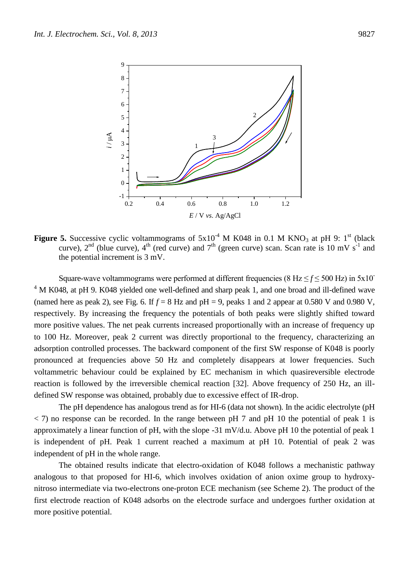

**Figure 5.** Successive cyclic voltammograms of  $5x10^{-4}$  M K048 in 0.1 M KNO<sub>3</sub> at pH 9: 1<sup>st</sup> (black curve),  $2^{nd}$  (blue curve),  $4^{th}$  (red curve) and  $7^{th}$  (green curve) scan. Scan rate is 10 mV s<sup>-1</sup> and the potential increment is 3 mV.

Square-wave voltammograms were performed at different frequencies (8 Hz  $\leq f \leq 500$  Hz) in  $5x10^-$ <sup>4</sup> M K048, at pH 9. K048 yielded one well-defined and sharp peak 1, and one broad and ill-defined wave (named here as peak 2), see Fig. 6. If  $f = 8$  Hz and pH = 9, peaks 1 and 2 appear at 0.580 V and 0.980 V, respectively. By increasing the frequency the potentials of both peaks were slightly shifted toward more positive values. The net peak currents increased proportionally with an increase of frequency up to 100 Hz. Moreover, peak 2 current was directly proportional to the frequency, characterizing an adsorption controlled processes. The backward component of the first SW response of K048 is poorly pronounced at frequencies above 50 Hz and completely disappears at lower frequencies. Such voltammetric behaviour could be explained by EC mechanism in which quasireversible electrode reaction is followed by the irreversible chemical reaction [32]. Above frequency of 250 Hz, an illdefined SW response was obtained, probably due to excessive effect of IR-drop.

The pH dependence has analogous trend as for HI-6 (data not shown). In the acidic electrolyte (pH  $\langle$  7) no response can be recorded. In the range between pH 7 and pH 10 the potential of peak 1 is approximately a linear function of pH, with the slope -31 mV/d.u. Above pH 10 the potential of peak 1 is independent of pH. Peak 1 current reached a maximum at pH 10. Potential of peak 2 was independent of pH in the whole range.

The obtained results indicate that electro-oxidation of K048 follows a mechanistic pathway analogous to that proposed for HI-6, which involves oxidation of anion oxime group to hydroxynitroso intermediate via two-electrons one-proton ECE mechanism (see Scheme 2). The product of the first electrode reaction of K048 adsorbs on the electrode surface and undergoes further oxidation at more positive potential.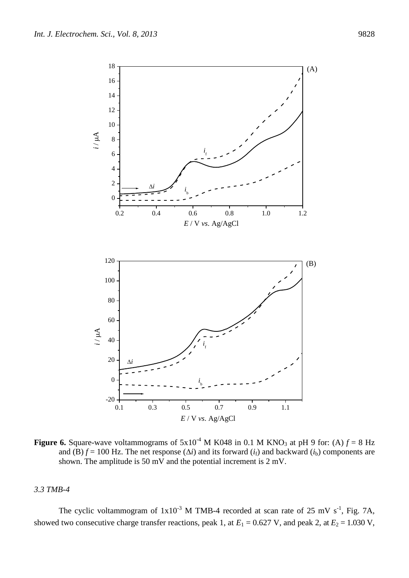

**Figure 6.** Square-wave voltammograms of  $5x10^{-4}$  M K048 in 0.1 M KNO<sub>3</sub> at pH 9 for: (A)  $f = 8$  Hz and (B)  $f = 100$  Hz. The net response ( $\Delta i$ ) and its forward ( $i_f$ ) and backward ( $i_b$ ) components are shown. The amplitude is 50 mV and the potential increment is 2 mV.

*E* / V *vs*. Ag/AgCl

#### *3.3 TMB-4*

The cyclic voltammogram of  $1x10^{-3}$  M TMB-4 recorded at scan rate of 25 mV s<sup>-1</sup>, Fig. 7A, showed two consecutive charge transfer reactions, peak 1, at  $E_1 = 0.627$  V, and peak 2, at  $E_2 = 1.030$  V,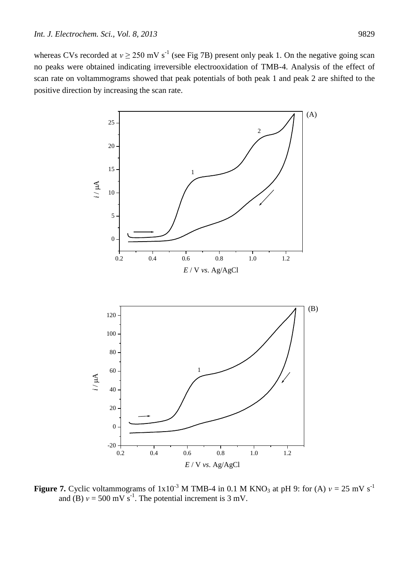whereas CVs recorded at  $v \ge 250$  mV s<sup>-1</sup> (see Fig 7B) present only peak 1. On the negative going scan no peaks were obtained indicating irreversible electrooxidation of TMB-4. Analysis of the effect of scan rate on voltammograms showed that peak potentials of both peak 1 and peak 2 are shifted to the positive direction by increasing the scan rate.



**Figure 7.** Cyclic voltammograms of  $1x10^{-3}$  M TMB-4 in 0.1 M KNO<sub>3</sub> at pH 9: for (A)  $v = 25$  mV s<sup>-1</sup> and (B)  $v = 500$  mV s<sup>-1</sup>. The potential increment is 3 mV.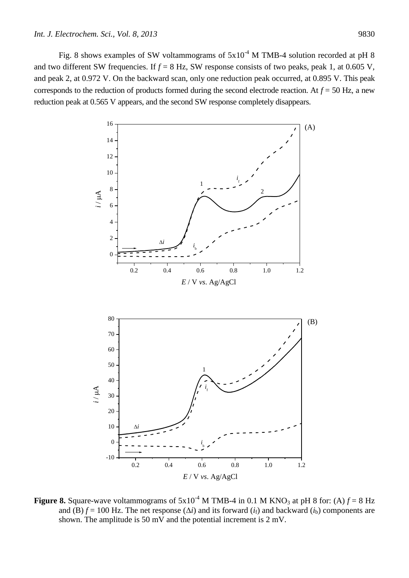Fig. 8 shows examples of SW voltammograms of  $5x10^{-4}$  M TMB-4 solution recorded at pH 8 and two different SW frequencies. If  $f = 8$  Hz, SW response consists of two peaks, peak 1, at 0.605 V, and peak 2, at 0.972 V. On the backward scan, only one reduction peak occurred, at 0.895 V. This peak corresponds to the reduction of products formed during the second electrode reaction. At  $f = 50$  Hz, a new reduction peak at 0.565 V appears, and the second SW response completely disappears.



**Figure 8.** Square-wave voltammograms of  $5x10^{-4}$  M TMB-4 in 0.1 M KNO<sub>3</sub> at pH 8 for: (A)  $f = 8$  Hz and (B)  $f = 100$  Hz. The net response ( $\Delta i$ ) and its forward ( $i_f$ ) and backward ( $i_b$ ) components are shown. The amplitude is 50 mV and the potential increment is 2 mV.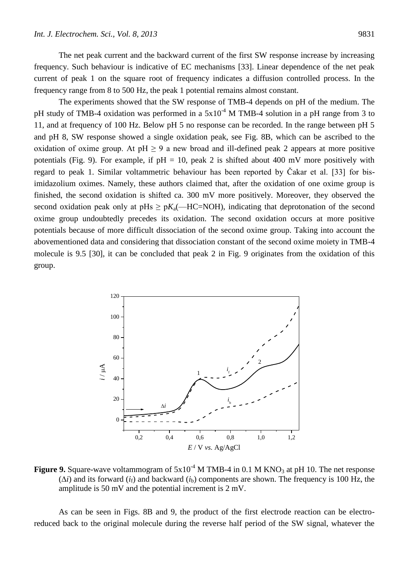The net peak current and the backward current of the first SW response increase by increasing frequency. Such behaviour is indicative of EC mechanisms [33]. Linear dependence of the net peak current of peak 1 on the square root of frequency indicates a diffusion controlled process. In the frequency range from 8 to 500 Hz, the peak 1 potential remains almost constant.

The experiments showed that the SW response of TMB-4 depends on pH of the medium. The pH study of TMB-4 oxidation was performed in a  $5x10^{-4}$  M TMB-4 solution in a pH range from 3 to 11, and at frequency of 100 Hz. Below pH 5 no response can be recorded. In the range between pH 5 and pH 8, SW response showed a single oxidation peak, see Fig. 8B, which can be ascribed to the oxidation of oxime group. At  $pH \ge 9$  a new broad and ill-defined peak 2 appears at more positive potentials (Fig. 9). For example, if  $pH = 10$ , peak 2 is shifted about 400 mV more positively with regard to peak 1. Similar voltammetric behaviour has been reported by Čakar et al. [33] for bisimidazolium oximes. Namely, these authors claimed that, after the oxidation of one oxime group is finished, the second oxidation is shifted ca. 300 mV more positively. Moreover, they observed the second oxidation peak only at pHs  $\geq pK_a$ (—HC=NOH), indicating that deprotonation of the second oxime group undoubtedly precedes its oxidation. The second oxidation occurs at more positive potentials because of more difficult dissociation of the second oxime group. Taking into account the abovementioned data and considering that dissociation constant of the second oxime moiety in TMB-4 molecule is 9.5 [30], it can be concluded that peak 2 in Fig. 9 originates from the oxidation of this group.



**Figure 9.** Square-wave voltammogram of  $5x10^{-4}$  M TMB-4 in 0.1 M KNO<sub>3</sub> at pH 10. The net response  $(\Delta i)$  and its forward  $(i_f)$  and backward  $(i_b)$  components are shown. The frequency is 100 Hz, the amplitude is 50 mV and the potential increment is 2 mV.

As can be seen in Figs. 8B and 9, the product of the first electrode reaction can be electroreduced back to the original molecule during the reverse half period of the SW signal, whatever the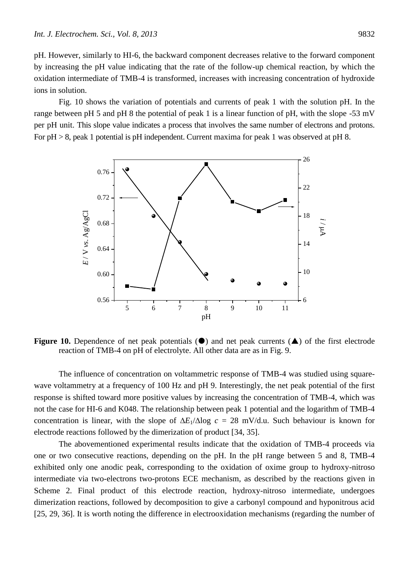pH. However, similarly to HI-6, the backward component decreases relative to the forward component by increasing the pH value indicating that the rate of the follow-up chemical reaction, by which the oxidation intermediate of TMB-4 is transformed, increases with increasing concentration of hydroxide ions in solution.

Fig. 10 shows the variation of potentials and currents of peak 1 with the solution pH. In the range between pH 5 and pH 8 the potential of peak 1 is a linear function of pH, with the slope -53 mV per pH unit. This slope value indicates a process that involves the same number of electrons and protons. For  $pH > 8$ , peak 1 potential is  $pH$  independent. Current maxima for peak 1 was observed at  $pH$  8.



**Figure 10.** Dependence of net peak potentials  $(\bullet)$  and net peak currents  $(\bullet)$  of the first electrode reaction of TMB-4 on pH of electrolyte. All other data are as in Fig. 9.

The influence of concentration on voltammetric response of TMB-4 was studied using squarewave voltammetry at a frequency of 100 Hz and pH 9. Interestingly, the net peak potential of the first response is shifted toward more positive values by increasing the concentration of TMB-4, which was not the case for HI-6 and K048. The relationship between peak 1 potential and the logarithm of TMB-4 concentration is linear, with the slope of  $\Delta E_1/\Delta \log c = 28$  mV/d.u. Such behaviour is known for electrode reactions followed by the dimerization of product [34, 35].

The abovementioned experimental results indicate that the oxidation of TMB-4 proceeds via one or two consecutive reactions, depending on the pH. In the pH range between 5 and 8, TMB-4 exhibited only one anodic peak, corresponding to the oxidation of oxime group to hydroxy-nitroso intermediate via two-electrons two-protons ECE mechanism, as described by the reactions given in Scheme 2. Final product of this electrode reaction, hydroxy-nitroso intermediate, undergoes dimerization reactions, followed by decomposition to give a carbonyl compound and hyponitrous acid [25, 29, 36]. It is worth noting the difference in electrooxidation mechanisms (regarding the number of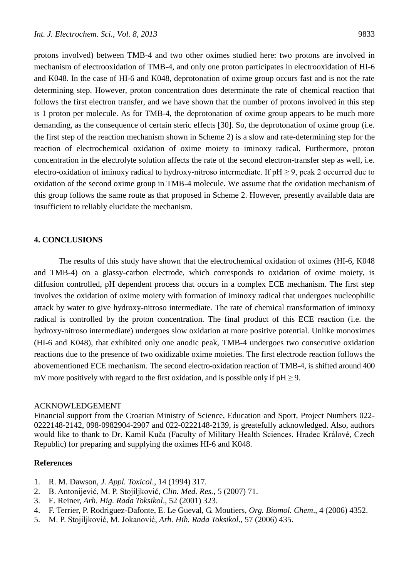protons involved) between TMB-4 and two other oximes studied here: two protons are involved in mechanism of electrooxidation of TMB-4, and only one proton participates in electrooxidation of HI-6 and K048. In the case of HI-6 and K048, deprotonation of oxime group occurs fast and is not the rate determining step. However, proton concentration does determinate the rate of chemical reaction that follows the first electron transfer, and we have shown that the number of protons involved in this step is 1 proton per molecule. As for TMB-4, the deprotonation of oxime group appears to be much more demanding, as the consequence of certain steric effects [30]. So, the deprotonation of oxime group (i.e. the first step of the reaction mechanism shown in Scheme 2) is a slow and rate-determining step for the reaction of electrochemical oxidation of oxime moiety to iminoxy radical. Furthermore, proton concentration in the electrolyte solution affects the rate of the second electron-transfer step as well, i.e. electro-oxidation of iminoxy radical to hydroxy-nitroso intermediate. If  $pH \ge 9$ , peak 2 occurred due to oxidation of the second oxime group in TMB-4 molecule. We assume that the oxidation mechanism of this group follows the same route as that proposed in Scheme 2. However, presently available data are insufficient to reliably elucidate the mechanism.

## **4. CONCLUSIONS**

The results of this study have shown that the electrochemical oxidation of oximes (HI-6, K048 and TMB-4) on a glassy-carbon electrode, which corresponds to oxidation of oxime moiety, is diffusion controlled, pH dependent process that occurs in a complex ECE mechanism. The first step involves the oxidation of oxime moiety with formation of iminoxy radical that undergoes nucleophilic attack by water to give hydroxy-nitroso intermediate. The rate of chemical transformation of iminoxy radical is controlled by the proton concentration. The final product of this ECE reaction (i.e. the hydroxy-nitroso intermediate) undergoes slow oxidation at more positive potential. Unlike monoximes (HI-6 and K048), that exhibited only one anodic peak, TMB-4 undergoes two consecutive oxidation reactions due to the presence of two oxidizable oxime moieties. The first electrode reaction follows the abovementioned ECE mechanism. The second electro-oxidation reaction of TMB-4, is shifted around 400 mV more positively with regard to the first oxidation, and is possible only if  $pH \ge 9$ .

#### ACKNOWLEDGEMENT

Financial support from the Croatian Ministry of Science, Education and Sport, Project Numbers 022- 0222148-2142, 098-0982904-2907 and 022-0222148-2139, is greatefully acknowledged. Also, authors would like to thank to Dr. Kamil Kuča (Faculty of Military Health Sciences, Hradec Králové, Czech Republic) for preparing and supplying the oximes HI-6 and K048.

# **References**

- 1. R. M. Dawson, *J. Appl. Toxicol*., 14 (1994) 317.
- 2. B. Antonijević, M. P. Stojiljković, *Clin. Med. Res.*, 5 (2007) 71.
- 3. E. Reiner, *Arh. Hig. Rada Toksikol*., 52 (2001) 323.
- 4. F. Terrier, P. Rodriguez-Dafonte, E. Le Gueval, G. Moutiers, *Org. Biomol. Chem*., 4 (2006) 4352.
- 5. M. P. Stojiljković, M. Jokanović, *Arh. Hih. Rada Toksikol*., 57 (2006) 435.